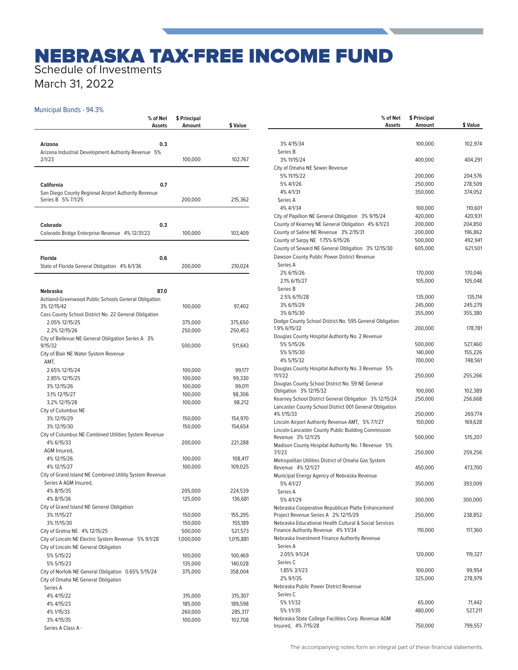## NEBRASKA TAX-FREE INCOME FUND

Schedule of Investments

March 31, 2022

## Municipal Bonds - 94.3%

|                                                                                               | % of Net<br>Assets | \$ Principal<br>Amount | \$ Value  |
|-----------------------------------------------------------------------------------------------|--------------------|------------------------|-----------|
| Arizona                                                                                       | 0.3                |                        |           |
| Arizona Industrial Development Authority Revenue 5%                                           |                    |                        |           |
| 2/1/23                                                                                        |                    | 100,000                | 102,767   |
|                                                                                               |                    |                        |           |
| <b>California</b><br>San Diego County Regional Airport Authority Revenue                      | 0.7                |                        |           |
| Series B 5% 7/1/25                                                                            |                    | 200,000                | 215,362   |
|                                                                                               |                    |                        |           |
| Colorado<br>Colorado Bridge Enterprise Revenue 4% 12/31/23                                    | 0.3                | 100,000                | 103,409   |
|                                                                                               |                    |                        |           |
| <b>Florida</b>                                                                                | 0.6                |                        |           |
| State of Florida General Obligation 4% 6/1/36                                                 |                    | 200,000                | 210,024   |
|                                                                                               |                    |                        |           |
| <b>Nebraska</b><br>Ashland-Greenwood Public Schools General Obligation                        | 87.0               |                        |           |
| 3% 12/15/42                                                                                   |                    | 100,000                | 97,402    |
| Cass County School District No. 22 General Obligation                                         |                    |                        |           |
| 2.05% 12/15/25                                                                                |                    | 375,000                | 375,650   |
| 2.2% 12/15/26                                                                                 |                    | 250,000                | 250,453   |
| City of Bellevue NE General Obligation Series A 3%<br>9/15/32                                 |                    | 500,000                | 511,643   |
| City of Blair NE Water System Revenue                                                         |                    |                        |           |
| AMT,                                                                                          |                    |                        |           |
| 2.65% 12/15/24                                                                                |                    | 100,000                | 99,177    |
| 2.85% 12/15/25                                                                                |                    | 100,000                | 99,330    |
| 3% 12/15/26                                                                                   |                    | 100,000                | 99,011    |
| 3.1% 12/15/27                                                                                 |                    | 100,000                | 98,306    |
| 3.2% 12/15/28                                                                                 |                    | 100,000                | 98,212    |
| City of Columbus NE                                                                           |                    |                        |           |
| 3% 12/15/29                                                                                   |                    | 150,000                | 154,970   |
| 3% 12/15/30                                                                                   |                    | 150,000                | 154,654   |
| City of Columbus NE Combined Utilities System Revenue<br>4% 6/15/33                           |                    |                        |           |
| AGM Insured,                                                                                  |                    | 200,000                | 221,288   |
| 4% 12/15/26                                                                                   |                    | 100,000                | 108,417   |
| 4% 12/15/27                                                                                   |                    | 100,000                | 109,025   |
| City of Grand Island NE Combined Utility System Revenue                                       |                    |                        |           |
| Series A AGM Insured,                                                                         |                    |                        |           |
| 4% 8/15/35                                                                                    |                    | 205,000                | 224,539   |
| 4% 8/15/36                                                                                    |                    | 125,000                | 136,681   |
| City of Grand Island NE General Obligation                                                    |                    |                        |           |
| 3% 11/15/27                                                                                   |                    | 150,000                | 155,295   |
| 3% 11/15/30                                                                                   |                    | 150,000                | 155,189   |
| City of Gretna NE 4% 12/15/25                                                                 |                    | 500,000                | 521,573   |
| City of Lincoln NE Electric System Revenue 5% 9/1/28<br>City of Lincoln NE General Obligation |                    | 1,000,000              | 1,015,881 |
| 5% 5/15/22                                                                                    |                    | 100,000                | 100,469   |
| 5% 5/15/23                                                                                    |                    | 135,000                | 140,028   |
| City of Norfolk NE General Obligation 0.65% 5/15/24                                           |                    | 375,000                | 358,004   |
| City of Omaha NE General Obligation                                                           |                    |                        |           |
| Series A                                                                                      |                    |                        |           |
| 4% 4/15/22                                                                                    |                    | 315,000                | 315,307   |
| 4% 4/15/23                                                                                    |                    | 185,000                | 189,598   |
| 4% 1/15/33                                                                                    |                    | 260,000                | 285,317   |
| 3% 4/15/35                                                                                    |                    | 100,000                | 102,708   |
| Series A Class A -                                                                            |                    |                        |           |

| % of Net<br>Assets                                                                                | \$ Principal<br>Amount | \$ Value |
|---------------------------------------------------------------------------------------------------|------------------------|----------|
|                                                                                                   |                        |          |
| 3% 4/15/34                                                                                        | 100,000                | 102,974  |
| Series B                                                                                          |                        |          |
| 3% 11/15/24                                                                                       | 400,000                | 404,291  |
| City of Omaha NE Sewer Revenue                                                                    |                        |          |
| 5% 11/15/22                                                                                       | 200,000                | 204,576  |
| 5% 4/1/26                                                                                         | 250,000                | 278,509  |
| 4% 4/1/31                                                                                         | 350,000                | 374,052  |
| Series A                                                                                          |                        |          |
| 4% 4/1/34                                                                                         | 100,000                | 110,601  |
| City of Papillion NE General Obligation 3% 9/15/24                                                | 420,000                | 420,931  |
| County of Kearney NE General Obligation 4% 6/1/23                                                 | 200,000                | 204,850  |
| County of Saline NE Revenue 3% 2/15/31                                                            | 200,000                | 196,862  |
| County of Sarpy NE 1.75% 6/15/26                                                                  | 500,000                | 492,941  |
| County of Seward NE General Obligation 3% 12/15/30<br>Dawson County Public Power District Revenue | 605,000                | 621,501  |
| Series A                                                                                          |                        |          |
| 2% 6/15/26                                                                                        | 170,000                | 170,046  |
| 2.1% 6/15/27                                                                                      | 105,000                | 105,048  |
| Series B                                                                                          |                        |          |
| 2.5% 6/15/28                                                                                      | 135,000                | 135,114  |
| 3% 6/15/29                                                                                        | 245.000                | 245,279  |
| 3% 6/15/30                                                                                        | 355,000                | 355,380  |
| Dodge County School District No. 595 General Obligation                                           |                        |          |
| 1.9% 6/15/32                                                                                      | 200,000                | 178,781  |
| Douglas County Hospital Authority No. 2 Revenue                                                   |                        |          |
| 5% 5/15/26                                                                                        | 500,000                | 527,460  |
| 5% 5/15/30                                                                                        | 140,000                | 155,226  |
| 4% 5/15/32                                                                                        | 700,000                | 748,561  |
| Douglas County Hospital Authority No. 3 Revenue 5%                                                |                        |          |
| 11/1/22                                                                                           | 250,000                | 255,266  |
| Douglas County School District No. 59 NE General<br>Obligation 3% 12/15/32                        | 100,000                | 102,389  |
| Kearney School District General Obligation 3% 12/15/24                                            | 250,000                | 256,668  |
| Lancaster County School District 001 General Obligation                                           |                        |          |
| 4% 1/15/33                                                                                        | 250,000                | 269,774  |
| Lincoln Airport Authority Revenue AMT, 5% 7/1/27                                                  | 150,000                | 169,628  |
| Lincoln-Lancaster County Public Building Commission                                               |                        |          |
| Revenue 3% 12/1/25                                                                                | 500,000                | 515,207  |
| Madison County Hospital Authority No. 1 Revenue 5%                                                |                        |          |
| 7/1/23                                                                                            | 250,000                | 259,256  |
| Metropolitan Utilities District of Omaha Gas System<br>Revenue 4% 12/1/27                         | 450,000                | 473,700  |
| Municipal Energy Agency of Nebraska Revenue                                                       |                        |          |
| 5% 4/1/27                                                                                         | 350,000                | 393,009  |
| Series A                                                                                          |                        |          |
| 5% 4/1/29                                                                                         | 300,000                | 300,000  |
| Nebraska Cooperative Republican Platte Enhancement                                                |                        |          |
| Project Revenue Series A 2% 12/15/29                                                              | 250,000                | 238,852  |
| Nebraska Educational Health Cultural & Social Services                                            |                        |          |
| Finance Authority Revenue 4% 1/1/34                                                               | 110,000                | 117,360  |
| Nebraska Investment Finance Authority Revenue                                                     |                        |          |
| Series A                                                                                          |                        |          |
| 2.05% 9/1/24                                                                                      | 120,000                | 119,327  |
| Series C                                                                                          |                        |          |
| 1.85% 3/1/23                                                                                      | 100,000                | 99,954   |
| 2% 9/1/35                                                                                         | 325,000                | 278,979  |
| Nebraska Public Power District Revenue                                                            |                        |          |
| Series C                                                                                          |                        |          |
| 5% 1/1/32                                                                                         | 65,000                 | 71,442   |
| 5% 1/1/35<br>Nebraska State College Facilities Corp. Revenue AGM                                  | 480,000                | 527,211  |
| Insured, 4% 7/15/28                                                                               | 750,000                | 799,557  |
|                                                                                                   |                        |          |